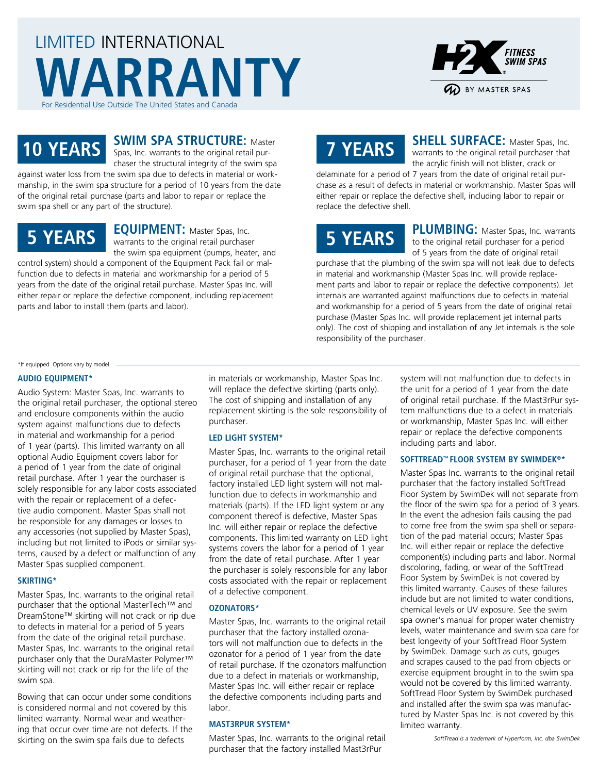# LIMITED INTERNATIONAL **WARRANTY** For Residential Use Outside The United States and Canad



# **SWIM SPA STRUCTURE:** Master

**10 YEARS** Spas, Inc. warrants to the original retail purchaser the structural integrity of the swim spa against water loss from the swim spa due to defects in material or work-

manship, in the swim spa structure for a period of 10 years from the date of the original retail purchase (parts and labor to repair or replace the swim spa shell or any part of the structure).

# **5 YEARS**

**EQUIPMENT:** Master Spas, Inc. warrants to the original retail purchaser the swim spa equipment (pumps, heater, and

control system) should a component of the Equipment Pack fail or malfunction due to defects in material and workmanship for a period of 5 years from the date of the original retail purchase. Master Spas Inc. will either repair or replace the defective component, including replacement parts and labor to install them (parts and labor).

# **7 YEARS**

**SHELL SURFACE:** Master Spas, Inc. warrants to the original retail purchaser that the acrylic finish will not blister, crack or

delaminate for a period of 7 years from the date of original retail purchase as a result of defects in material or workmanship. Master Spas will either repair or replace the defective shell, including labor to repair or replace the defective shell.

# **5 YEARS**

**PLUMBING:** Master Spas, Inc. warrants to the original retail purchaser for a period of 5 years from the date of original retail

purchase that the plumbing of the swim spa will not leak due to defects in material and workmanship (Master Spas Inc. will provide replacement parts and labor to repair or replace the defective components). Jet internals are warranted against malfunctions due to defects in material and workmanship for a period of 5 years from the date of original retail purchase (Master Spas Inc. will provide replacement jet internal parts only). The cost of shipping and installation of any Jet internals is the sole responsibility of the purchaser.

#### \*If equipped. Options vary by model.

## **AUDIO EQUIPMENT\***

Audio System: Master Spas, Inc. warrants to the original retail purchaser, the optional stereo and enclosure components within the audio system against malfunctions due to defects in material and workmanship for a period of 1 year (parts). This limited warranty on all optional Audio Equipment covers labor for a period of 1 year from the date of original retail purchase. After 1 year the purchaser is solely responsible for any labor costs associated with the repair or replacement of a defective audio component. Master Spas shall not be responsible for any damages or losses to any accessories (not supplied by Master Spas), including but not limited to iPods or similar systems, caused by a defect or malfunction of any Master Spas supplied component.

# **SKIRTING\***

Master Spas, Inc. warrants to the original retail purchaser that the optional MasterTech™ and DreamStone™ skirting will not crack or rip due to defects in material for a period of 5 years from the date of the original retail purchase. Master Spas, Inc. warrants to the original retail purchaser only that the DuraMaster Polymer™ skirting will not crack or rip for the life of the swim spa.

Bowing that can occur under some conditions is considered normal and not covered by this limited warranty. Normal wear and weathering that occur over time are not defects. If the skirting on the swim spa fails due to defects

in materials or workmanship, Master Spas Inc. will replace the defective skirting (parts only). The cost of shipping and installation of any replacement skirting is the sole responsibility of purchaser.

# **LED LIGHT SYSTEM\***

Master Spas, Inc. warrants to the original retail purchaser, for a period of 1 year from the date of original retail purchase that the optional, factory installed LED light system will not malfunction due to defects in workmanship and materials (parts). If the LED light system or any component thereof is defective, Master Spas Inc. will either repair or replace the defective components. This limited warranty on LED light systems covers the labor for a period of 1 year from the date of retail purchase. After 1 year the purchaser is solely responsible for any labor costs associated with the repair or replacement of a defective component.

# **OZONATORS\***

Master Spas, Inc. warrants to the original retail purchaser that the factory installed ozonators will not malfunction due to defects in the ozonator for a period of 1 year from the date of retail purchase. If the ozonators malfunction due to a defect in materials or workmanship, Master Spas Inc. will either repair or replace the defective components including parts and labor.

## **MAST3RPUR SYSTEM\***

Master Spas, Inc. warrants to the original retail purchaser that the factory installed Mast3rPur

system will not malfunction due to defects in the unit for a period of 1 year from the date of original retail purchase. If the Mast3rPur system malfunctions due to a defect in materials or workmanship, Master Spas Inc. will either repair or replace the defective components including parts and labor.

## **SOFTTREAD™ FLOOR SYSTEM BY SWIMDEK®\***

Master Spas Inc. warrants to the original retail purchaser that the factory installed SoftTread Floor System by SwimDek will not separate from the floor of the swim spa for a period of 3 years. In the event the adhesion fails causing the pad to come free from the swim spa shell or separation of the pad material occurs; Master Spas Inc. will either repair or replace the defective component(s) including parts and labor. Normal discoloring, fading, or wear of the SoftTread Floor System by SwimDek is not covered by this limited warranty. Causes of these failures include but are not limited to water conditions, chemical levels or UV exposure. See the swim spa owner's manual for proper water chemistry levels, water maintenance and swim spa care for best longevity of your SoftTread Floor System by SwimDek. Damage such as cuts, gouges and scrapes caused to the pad from objects or exercise equipment brought in to the swim spa would not be covered by this limited warranty. SoftTread Floor System by SwimDek purchased and installed after the swim spa was manufactured by Master Spas Inc. is not covered by this limited warranty.

*SoftTread is a trademark of Hyperform, Inc. dba SwimDek*